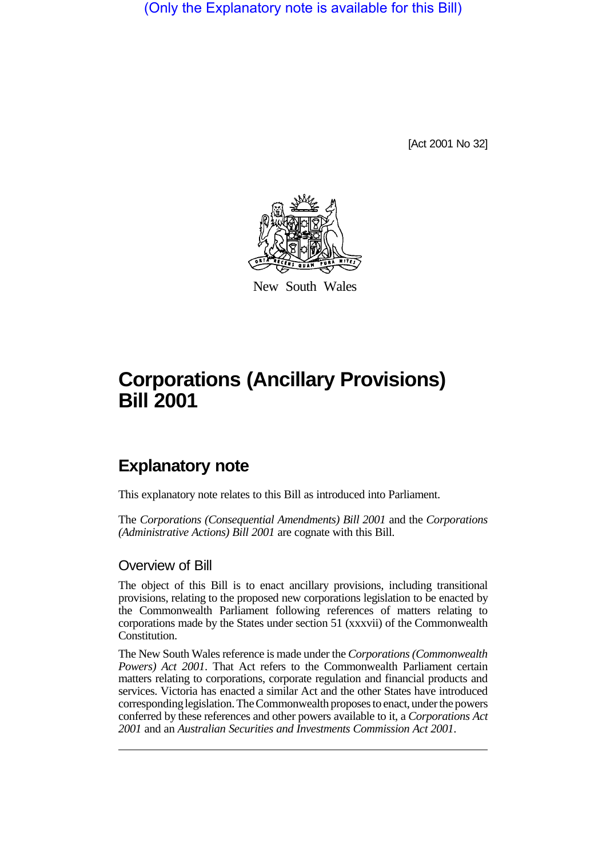(Only the Explanatory note is available for this Bill)

[Act 2001 No 32]



New South Wales

# **Corporations (Ancillary Provisions) Bill 2001**

## **Explanatory note**

This explanatory note relates to this Bill as introduced into Parliament.

The *Corporations (Consequential Amendments) Bill 2001* and the *Corporations (Administrative Actions) Bill 2001* are cognate with this Bill.

#### Overview of Bill

The object of this Bill is to enact ancillary provisions, including transitional provisions, relating to the proposed new corporations legislation to be enacted by the Commonwealth Parliament following references of matters relating to corporations made by the States under section 51 (xxxvii) of the Commonwealth Constitution.

The New South Wales reference is made under the *Corporations (Commonwealth Powers) Act 2001*. That Act refers to the Commonwealth Parliament certain matters relating to corporations, corporate regulation and financial products and services. Victoria has enacted a similar Act and the other States have introduced corresponding legislation. The Commonwealth proposes to enact, under the powers conferred by these references and other powers available to it, a *Corporations Act 2001* and an *Australian Securities and Investments Commission Act 2001*.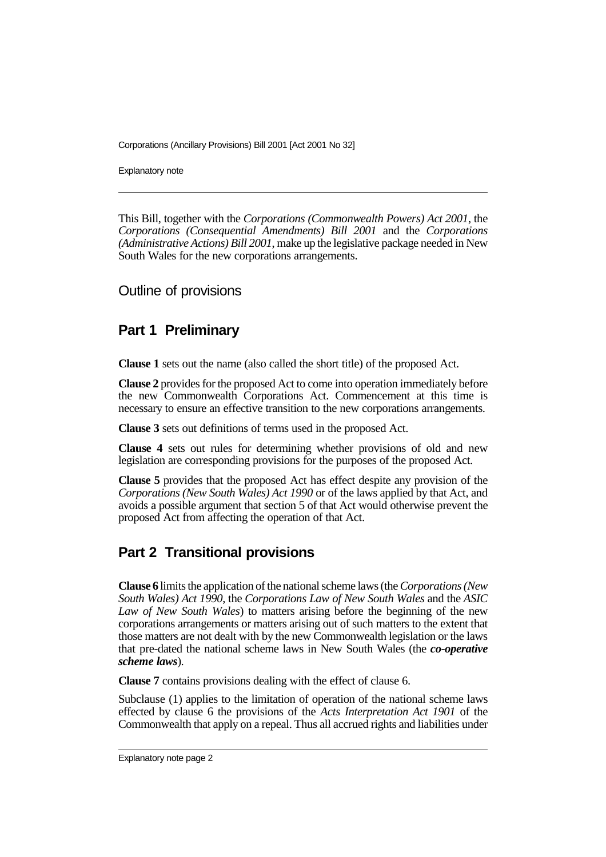Explanatory note

This Bill, together with the *Corporations (Commonwealth Powers) Act 2001*, the *Corporations (Consequential Amendments) Bill 2001* and the *Corporations (Administrative Actions) Bill 2001*, make up the legislative package needed in New South Wales for the new corporations arrangements.

Outline of provisions

## **Part 1 Preliminary**

**Clause 1** sets out the name (also called the short title) of the proposed Act.

**Clause 2** provides for the proposed Act to come into operation immediately before the new Commonwealth Corporations Act. Commencement at this time is necessary to ensure an effective transition to the new corporations arrangements.

**Clause 3** sets out definitions of terms used in the proposed Act.

**Clause 4** sets out rules for determining whether provisions of old and new legislation are corresponding provisions for the purposes of the proposed Act.

**Clause 5** provides that the proposed Act has effect despite any provision of the *Corporations (New South Wales) Act 1990* or of the laws applied by that Act, and avoids a possible argument that section 5 of that Act would otherwise prevent the proposed Act from affecting the operation of that Act.

## **Part 2 Transitional provisions**

**Clause 6** limits the application of the national scheme laws (the *Corporations (New South Wales) Act 1990*, the *Corporations Law of New South Wales* and the *ASIC Law of New South Wales*) to matters arising before the beginning of the new corporations arrangements or matters arising out of such matters to the extent that those matters are not dealt with by the new Commonwealth legislation or the laws that pre-dated the national scheme laws in New South Wales (the *co-operative scheme laws*).

**Clause 7** contains provisions dealing with the effect of clause 6.

Subclause (1) applies to the limitation of operation of the national scheme laws effected by clause 6 the provisions of the *Acts Interpretation Act 1901* of the Commonwealth that apply on a repeal. Thus all accrued rights and liabilities under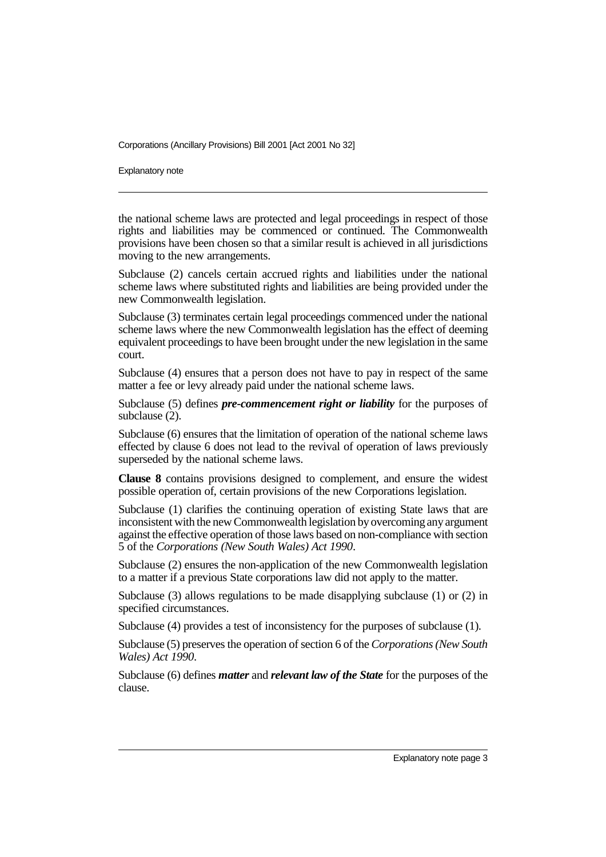Explanatory note

the national scheme laws are protected and legal proceedings in respect of those rights and liabilities may be commenced or continued. The Commonwealth provisions have been chosen so that a similar result is achieved in all jurisdictions moving to the new arrangements.

Subclause (2) cancels certain accrued rights and liabilities under the national scheme laws where substituted rights and liabilities are being provided under the new Commonwealth legislation.

Subclause (3) terminates certain legal proceedings commenced under the national scheme laws where the new Commonwealth legislation has the effect of deeming equivalent proceedings to have been brought under the new legislation in the same court.

Subclause (4) ensures that a person does not have to pay in respect of the same matter a fee or levy already paid under the national scheme laws.

Subclause (5) defines *pre-commencement right or liability* for the purposes of subclause (2).

Subclause (6) ensures that the limitation of operation of the national scheme laws effected by clause 6 does not lead to the revival of operation of laws previously superseded by the national scheme laws.

**Clause 8** contains provisions designed to complement, and ensure the widest possible operation of, certain provisions of the new Corporations legislation.

Subclause (1) clarifies the continuing operation of existing State laws that are inconsistent with the new Commonwealth legislation by overcoming any argument against the effective operation of those laws based on non-compliance with section 5 of the *Corporations (New South Wales) Act 1990*.

Subclause (2) ensures the non-application of the new Commonwealth legislation to a matter if a previous State corporations law did not apply to the matter.

Subclause (3) allows regulations to be made disapplying subclause (1) or (2) in specified circumstances.

Subclause (4) provides a test of inconsistency for the purposes of subclause (1).

Subclause (5) preserves the operation of section 6 of the *Corporations (New South Wales) Act 1990*.

Subclause (6) defines *matter* and *relevant law of the State* for the purposes of the clause.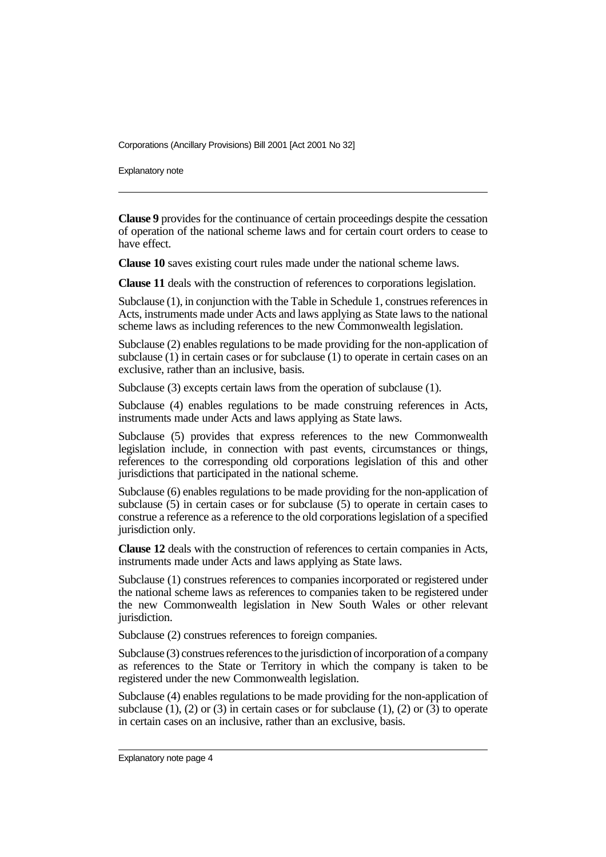Explanatory note

**Clause 9** provides for the continuance of certain proceedings despite the cessation of operation of the national scheme laws and for certain court orders to cease to have effect.

**Clause 10** saves existing court rules made under the national scheme laws.

**Clause 11** deals with the construction of references to corporations legislation.

Subclause (1), in conjunction with the Table in Schedule 1, construes references in Acts, instruments made under Acts and laws applying as State laws to the national scheme laws as including references to the new Commonwealth legislation.

Subclause (2) enables regulations to be made providing for the non-application of subclause (1) in certain cases or for subclause (1) to operate in certain cases on an exclusive, rather than an inclusive, basis.

Subclause (3) excepts certain laws from the operation of subclause (1).

Subclause (4) enables regulations to be made construing references in Acts, instruments made under Acts and laws applying as State laws.

Subclause (5) provides that express references to the new Commonwealth legislation include, in connection with past events, circumstances or things, references to the corresponding old corporations legislation of this and other jurisdictions that participated in the national scheme.

Subclause (6) enables regulations to be made providing for the non-application of subclause (5) in certain cases or for subclause (5) to operate in certain cases to construe a reference as a reference to the old corporations legislation of a specified jurisdiction only.

**Clause 12** deals with the construction of references to certain companies in Acts, instruments made under Acts and laws applying as State laws.

Subclause (1) construes references to companies incorporated or registered under the national scheme laws as references to companies taken to be registered under the new Commonwealth legislation in New South Wales or other relevant jurisdiction.

Subclause (2) construes references to foreign companies.

Subclause (3) construes references to the jurisdiction of incorporation of a company as references to the State or Territory in which the company is taken to be registered under the new Commonwealth legislation.

Subclause (4) enables regulations to be made providing for the non-application of subclause (1), (2) or (3) in certain cases or for subclause (1), (2) or  $(\overline{3})$  to operate in certain cases on an inclusive, rather than an exclusive, basis.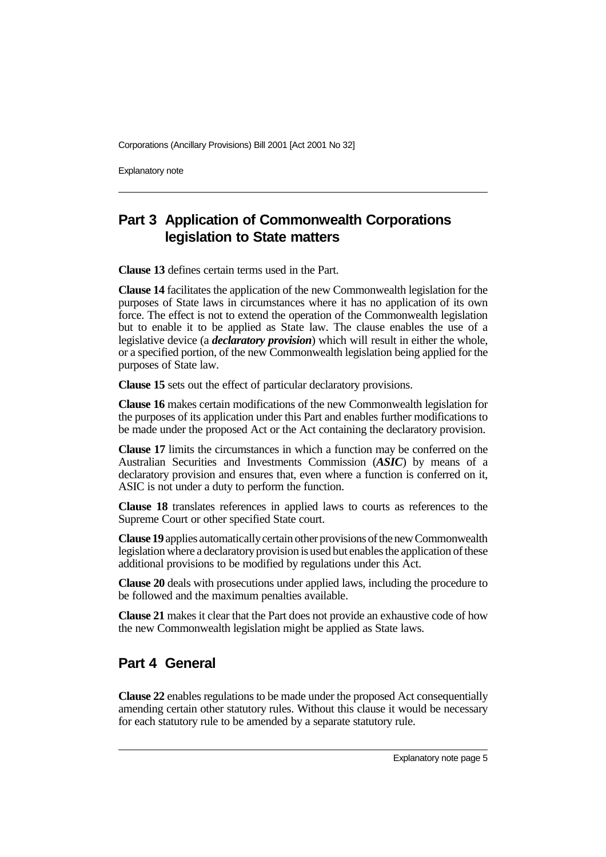Explanatory note

## **Part 3 Application of Commonwealth Corporations legislation to State matters**

**Clause 13** defines certain terms used in the Part.

**Clause 14** facilitates the application of the new Commonwealth legislation for the purposes of State laws in circumstances where it has no application of its own force. The effect is not to extend the operation of the Commonwealth legislation but to enable it to be applied as State law. The clause enables the use of a legislative device (a *declaratory provision*) which will result in either the whole, or a specified portion, of the new Commonwealth legislation being applied for the purposes of State law.

**Clause 15** sets out the effect of particular declaratory provisions.

**Clause 16** makes certain modifications of the new Commonwealth legislation for the purposes of its application under this Part and enables further modifications to be made under the proposed Act or the Act containing the declaratory provision.

**Clause 17** limits the circumstances in which a function may be conferred on the Australian Securities and Investments Commission (*ASIC*) by means of a declaratory provision and ensures that, even where a function is conferred on it, ASIC is not under a duty to perform the function.

**Clause 18** translates references in applied laws to courts as references to the Supreme Court or other specified State court.

**Clause 19** applies automatically certain other provisions of the new Commonwealth legislation where a declaratory provision is used but enables the application of these additional provisions to be modified by regulations under this Act.

**Clause 20** deals with prosecutions under applied laws, including the procedure to be followed and the maximum penalties available.

**Clause 21** makes it clear that the Part does not provide an exhaustive code of how the new Commonwealth legislation might be applied as State laws.

## **Part 4 General**

**Clause 22** enables regulations to be made under the proposed Act consequentially amending certain other statutory rules. Without this clause it would be necessary for each statutory rule to be amended by a separate statutory rule.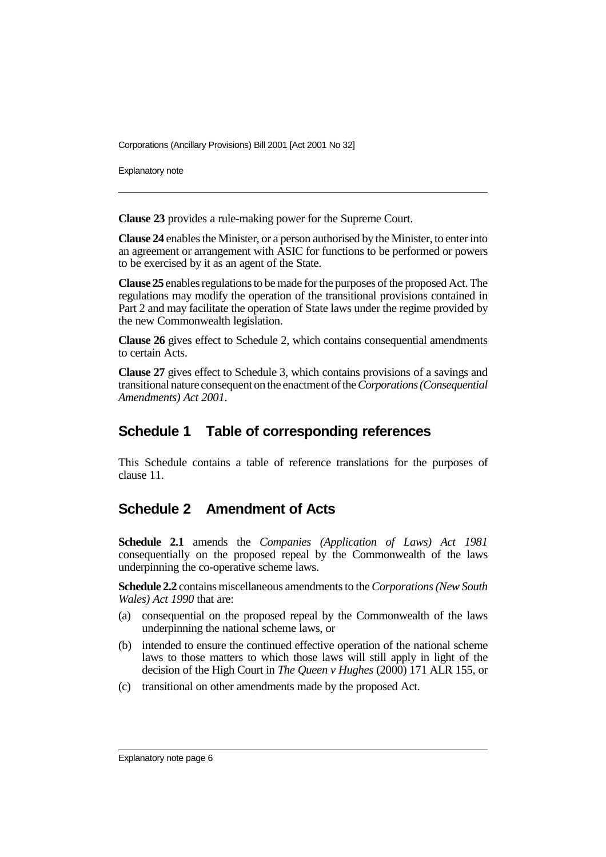Explanatory note

**Clause 23** provides a rule-making power for the Supreme Court.

**Clause 24** enables the Minister, or a person authorised by the Minister, to enter into an agreement or arrangement with ASIC for functions to be performed or powers to be exercised by it as an agent of the State.

**Clause 25** enables regulations to be made for the purposes of the proposed Act. The regulations may modify the operation of the transitional provisions contained in Part 2 and may facilitate the operation of State laws under the regime provided by the new Commonwealth legislation.

**Clause 26** gives effect to Schedule 2, which contains consequential amendments to certain Acts.

**Clause 27** gives effect to Schedule 3, which contains provisions of a savings and transitional nature consequent on the enactment of the *Corporations (Consequential Amendments) Act 2001*.

### **Schedule 1 Table of corresponding references**

This Schedule contains a table of reference translations for the purposes of clause 11.

## **Schedule 2 Amendment of Acts**

**Schedule 2.1** amends the *Companies (Application of Laws) Act 1981* consequentially on the proposed repeal by the Commonwealth of the laws underpinning the co-operative scheme laws.

**Schedule 2.2** contains miscellaneous amendments to the *Corporations (New South Wales) Act 1990* that are:

- (a) consequential on the proposed repeal by the Commonwealth of the laws underpinning the national scheme laws, or
- (b) intended to ensure the continued effective operation of the national scheme laws to those matters to which those laws will still apply in light of the decision of the High Court in *The Queen v Hughes* (2000) 171 ALR 155, or
- (c) transitional on other amendments made by the proposed Act.